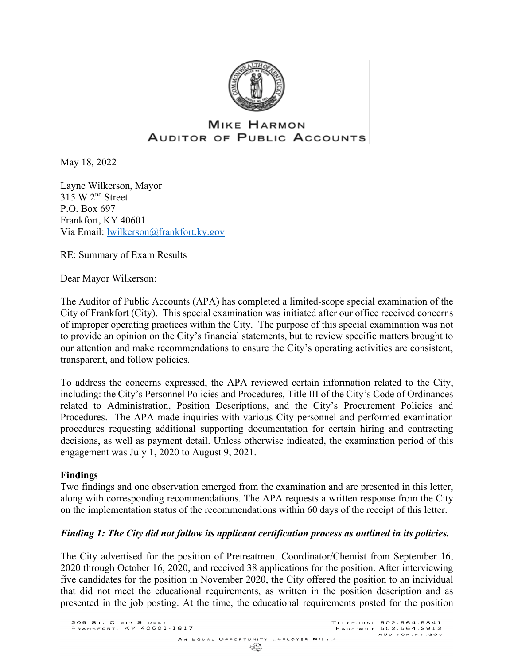

# **MIKE HARMON** AUDITOR OF PUBLIC ACCOUNTS

May 18, 2022

Layne Wilkerson, Mayor  $315 \text{ W } 2^{\text{nd}}$  Street P.O. Box 697 Frankfort, KY 40601 Via Email: [lwilkerson@frankfort.ky.gov](mailto:lwilkerson@frankfort.ky.gov)

RE: Summary of Exam Results

Dear Mayor Wilkerson:

The Auditor of Public Accounts (APA) has completed a limited-scope special examination of the City of Frankfort (City). This special examination was initiated after our office received concerns of improper operating practices within the City. The purpose of this special examination was not to provide an opinion on the City's financial statements, but to review specific matters brought to our attention and make recommendations to ensure the City's operating activities are consistent, transparent, and follow policies.

To address the concerns expressed, the APA reviewed certain information related to the City, including: the City's Personnel Policies and Procedures, Title III of the City's Code of Ordinances related to Administration, Position Descriptions, and the City's Procurement Policies and Procedures. The APA made inquiries with various City personnel and performed examination procedures requesting additional supporting documentation for certain hiring and contracting decisions, as well as payment detail. Unless otherwise indicated, the examination period of this engagement was July 1, 2020 to August 9, 2021.

#### **Findings**

Two findings and one observation emerged from the examination and are presented in this letter, along with corresponding recommendations. The APA requests a written response from the City on the implementation status of the recommendations within 60 days of the receipt of this letter.

#### *Finding 1: The City did not follow its applicant certification process as outlined in its policies.*

The City advertised for the position of Pretreatment Coordinator/Chemist from September 16, 2020 through October 16, 2020, and received 38 applications for the position. After interviewing five candidates for the position in November 2020, the City offered the position to an individual that did not meet the educational requirements, as written in the position description and as presented in the job posting. At the time, the educational requirements posted for the position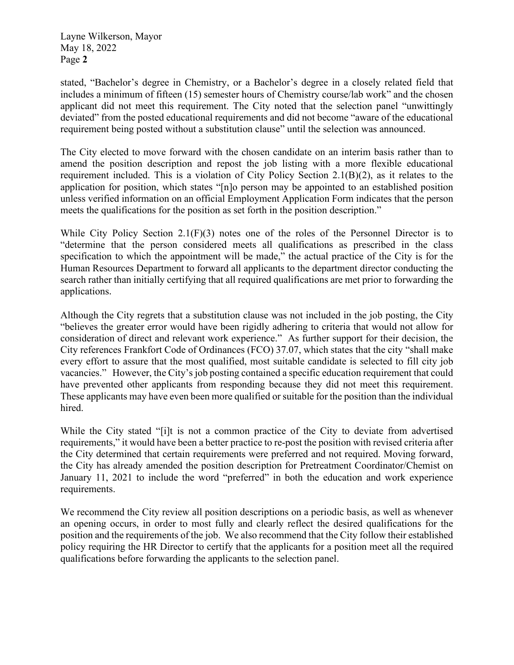Layne Wilkerson, Mayor May 18, 2022 Page **2**

stated, "Bachelor's degree in Chemistry, or a Bachelor's degree in a closely related field that includes a minimum of fifteen (15) semester hours of Chemistry course/lab work" and the chosen applicant did not meet this requirement. The City noted that the selection panel "unwittingly deviated" from the posted educational requirements and did not become "aware of the educational requirement being posted without a substitution clause" until the selection was announced.

The City elected to move forward with the chosen candidate on an interim basis rather than to amend the position description and repost the job listing with a more flexible educational requirement included. This is a violation of City Policy Section 2.1(B)(2), as it relates to the application for position, which states "[n]o person may be appointed to an established position unless verified information on an official Employment Application Form indicates that the person meets the qualifications for the position as set forth in the position description."

While City Policy Section 2.1(F)(3) notes one of the roles of the Personnel Director is to "determine that the person considered meets all qualifications as prescribed in the class specification to which the appointment will be made," the actual practice of the City is for the Human Resources Department to forward all applicants to the department director conducting the search rather than initially certifying that all required qualifications are met prior to forwarding the applications.

Although the City regrets that a substitution clause was not included in the job posting, the City "believes the greater error would have been rigidly adhering to criteria that would not allow for consideration of direct and relevant work experience." As further support for their decision, the City references Frankfort Code of Ordinances (FCO) 37.07, which states that the city "shall make every effort to assure that the most qualified, most suitable candidate is selected to fill city job vacancies." However, the City's job posting contained a specific education requirement that could have prevented other applicants from responding because they did not meet this requirement. These applicants may have even been more qualified or suitable for the position than the individual hired.

While the City stated "[i]t is not a common practice of the City to deviate from advertised requirements," it would have been a better practice to re-post the position with revised criteria after the City determined that certain requirements were preferred and not required. Moving forward, the City has already amended the position description for Pretreatment Coordinator/Chemist on January 11, 2021 to include the word "preferred" in both the education and work experience requirements.

We recommend the City review all position descriptions on a periodic basis, as well as whenever an opening occurs, in order to most fully and clearly reflect the desired qualifications for the position and the requirements of the job. We also recommend that the City follow their established policy requiring the HR Director to certify that the applicants for a position meet all the required qualifications before forwarding the applicants to the selection panel.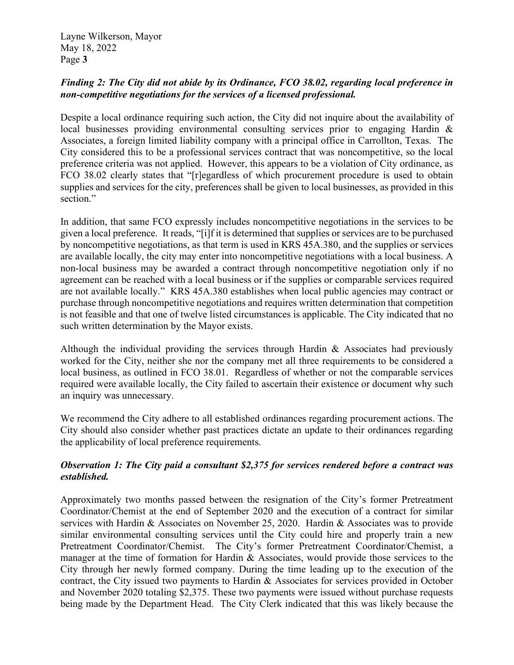Layne Wilkerson, Mayor May 18, 2022 Page **3**

## *Finding 2: The City did not abide by its Ordinance, FCO 38.02, regarding local preference in non-competitive negotiations for the services of a licensed professional.*

Despite a local ordinance requiring such action, the City did not inquire about the availability of local businesses providing environmental consulting services prior to engaging Hardin & Associates, a foreign limited liability company with a principal office in Carrollton, Texas. The City considered this to be a professional services contract that was noncompetitive, so the local preference criteria was not applied. However, this appears to be a violation of City ordinance, as FCO 38.02 clearly states that "[r]egardless of which procurement procedure is used to obtain supplies and services for the city, preferences shall be given to local businesses, as provided in this section."

In addition, that same FCO expressly includes noncompetitive negotiations in the services to be given a local preference. It reads, "[i]f it is determined that supplies or services are to be purchased by noncompetitive negotiations, as that term is used in KRS 45A.380, and the supplies or services are available locally, the city may enter into noncompetitive negotiations with a local business. A non-local business may be awarded a contract through noncompetitive negotiation only if no agreement can be reached with a local business or if the supplies or comparable services required are not available locally." KRS 45A.380 establishes when local public agencies may contract or purchase through noncompetitive negotiations and requires written determination that competition is not feasible and that one of twelve listed circumstances is applicable. The City indicated that no such written determination by the Mayor exists.

Although the individual providing the services through Hardin & Associates had previously worked for the City, neither she nor the company met all three requirements to be considered a local business, as outlined in FCO 38.01. Regardless of whether or not the comparable services required were available locally, the City failed to ascertain their existence or document why such an inquiry was unnecessary.

We recommend the City adhere to all established ordinances regarding procurement actions. The City should also consider whether past practices dictate an update to their ordinances regarding the applicability of local preference requirements.

### *Observation 1: The City paid a consultant \$2,375 for services rendered before a contract was established.*

Approximately two months passed between the resignation of the City's former Pretreatment Coordinator/Chemist at the end of September 2020 and the execution of a contract for similar services with Hardin & Associates on November 25, 2020. Hardin & Associates was to provide similar environmental consulting services until the City could hire and properly train a new Pretreatment Coordinator/Chemist. The City's former Pretreatment Coordinator/Chemist, a manager at the time of formation for Hardin & Associates, would provide those services to the City through her newly formed company. During the time leading up to the execution of the contract, the City issued two payments to Hardin & Associates for services provided in October and November 2020 totaling \$2,375. These two payments were issued without purchase requests being made by the Department Head. The City Clerk indicated that this was likely because the